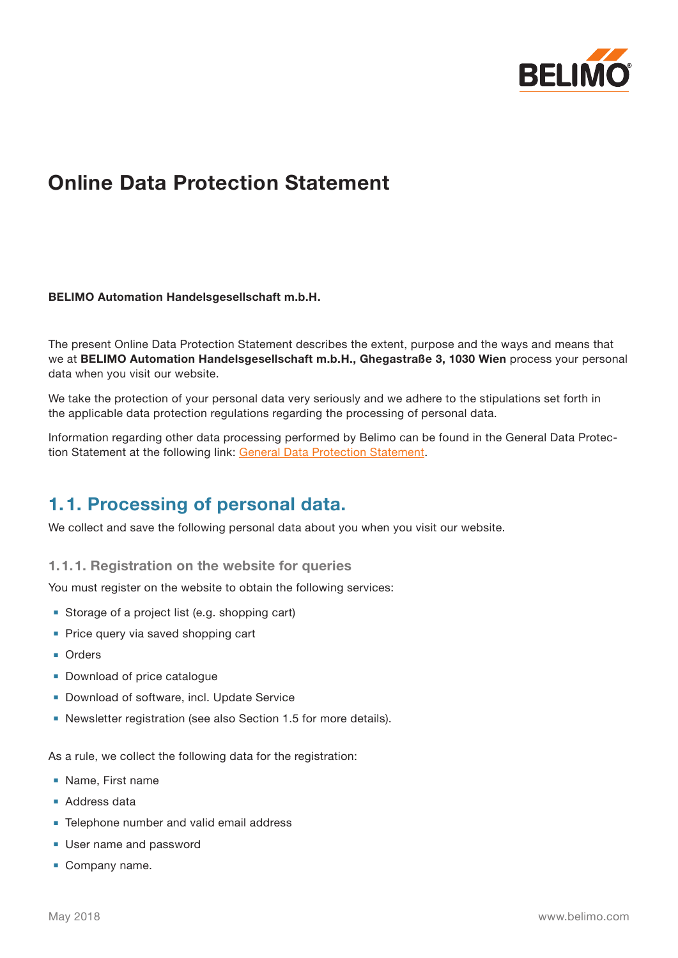

# **Online Data Protection Statement**

#### **BELIMO Automation Handelsgesellschaft m.b.H.**

The present Online Data Protection Statement describes the extent, purpose and the ways and means that we at **BELIMO Automation Handelsgesellschaft m.b.H., Ghegastraße 3, 1030 Wien** process your personal data when you visit our website.

We take the protection of your personal data very seriously and we adhere to the stipulations set forth in the applicable data protection regulations regarding the processing of personal data.

Information regarding other data processing performed by Belimo can be found in the General Data Protection Statement at the following link: [General Data Protection Statement.](http://www.belimo.at/pdf/e/general_privacy_policy_en_at.pdf)

#### **1.1. Processing of personal data.**

We collect and save the following personal data about you when you visit our website.

**1.1.1. Registration on the website for queries**

You must register on the website to obtain the following services:

- Storage of a project list (e.g. shopping cart)
- Price query via saved shopping cart
- **■** Orders
- Download of price catalogue
- Download of software, incl. Update Service
- Newsletter registration (see also Section 1.5 for more details).

As a rule, we collect the following data for the registration:

- **■** Name, First name
- Address data
- Telephone number and valid email address
- User name and password
- **■** Company name.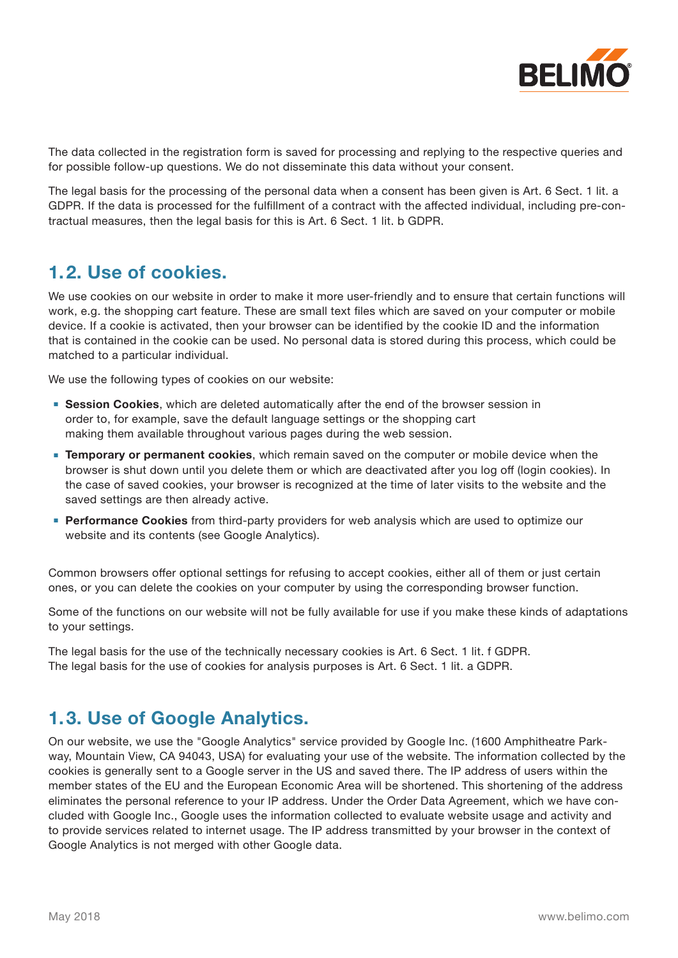

The data collected in the registration form is saved for processing and replying to the respective queries and for possible follow-up questions. We do not disseminate this data without your consent.

The legal basis for the processing of the personal data when a consent has been given is Art. 6 Sect. 1 lit. a GDPR. If the data is processed for the fulfillment of a contract with the affected individual, including pre-contractual measures, then the legal basis for this is Art. 6 Sect. 1 lit. b GDPR.

#### **1.2. Use of cookies.**

We use cookies on our website in order to make it more user-friendly and to ensure that certain functions will work, e.g. the shopping cart feature. These are small text files which are saved on your computer or mobile device. If a cookie is activated, then your browser can be identified by the cookie ID and the information that is contained in the cookie can be used. No personal data is stored during this process, which could be matched to a particular individual.

We use the following types of cookies on our website:

- **Session Cookies**, which are deleted automatically after the end of the browser session in order to, for example, save the default language settings or the shopping cart making them available throughout various pages during the web session.
- **Temporary or permanent cookies, which remain saved on the computer or mobile device when the** browser is shut down until you delete them or which are deactivated after you log off (login cookies). In the case of saved cookies, your browser is recognized at the time of later visits to the website and the saved settings are then already active.
- **Performance Cookies** from third-party providers for web analysis which are used to optimize our website and its contents (see Google Analytics).

Common browsers offer optional settings for refusing to accept cookies, either all of them or just certain ones, or you can delete the cookies on your computer by using the corresponding browser function.

Some of the functions on our website will not be fully available for use if you make these kinds of adaptations to your settings.

The legal basis for the use of the technically necessary cookies is Art. 6 Sect. 1 lit. f GDPR. The legal basis for the use of cookies for analysis purposes is Art. 6 Sect. 1 lit. a GDPR.

### **1.3. Use of Google Analytics.**

On our website, we use the "Google Analytics" service provided by Google Inc. (1600 Amphitheatre Parkway, Mountain View, CA 94043, USA) for evaluating your use of the website. The information collected by the cookies is generally sent to a Google server in the US and saved there. The IP address of users within the member states of the EU and the European Economic Area will be shortened. This shortening of the address eliminates the personal reference to your IP address. Under the Order Data Agreement, which we have concluded with Google Inc., Google uses the information collected to evaluate website usage and activity and to provide services related to internet usage. The IP address transmitted by your browser in the context of Google Analytics is not merged with other Google data.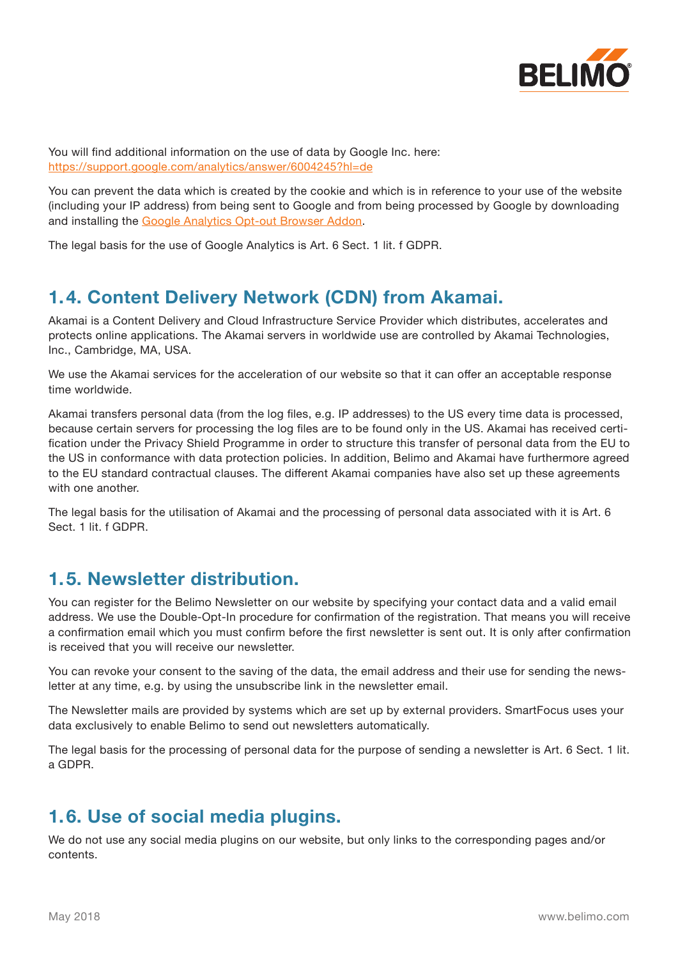

You will find additional information on the use of data by Google Inc. here: <https://support.google.com/analytics/answer/6004245?hl=de>

You can prevent the data which is created by the cookie and which is in reference to your use of the website (including your IP address) from being sent to Google and from being processed by Google by downloading and installing the [Google Analytics Opt-out Browser Addon](https://tools.google.com/dlpage/gaoptout?hl=de).

The legal basis for the use of Google Analytics is Art. 6 Sect. 1 lit. f GDPR.

# **1.4. Content Delivery Network (CDN) from Akamai.**

Akamai is a Content Delivery and Cloud Infrastructure Service Provider which distributes, accelerates and protects online applications. The Akamai servers in worldwide use are controlled by Akamai Technologies, Inc., Cambridge, MA, USA.

We use the Akamai services for the acceleration of our website so that it can offer an acceptable response time worldwide.

Akamai transfers personal data (from the log files, e.g. IP addresses) to the US every time data is processed, because certain servers for processing the log files are to be found only in the US. Akamai has received certification under the Privacy Shield Programme in order to structure this transfer of personal data from the EU to the US in conformance with data protection policies. In addition, Belimo and Akamai have furthermore agreed to the EU standard contractual clauses. The different Akamai companies have also set up these agreements with one another.

The legal basis for the utilisation of Akamai and the processing of personal data associated with it is Art. 6 Sect. 1 lit. f GDPR.

#### **1.5. Newsletter distribution.**

You can register for the Belimo Newsletter on our website by specifying your contact data and a valid email address. We use the Double-Opt-In procedure for confirmation of the registration. That means you will receive a confirmation email which you must confirm before the first newsletter is sent out. It is only after confirmation is received that you will receive our newsletter.

You can revoke your consent to the saving of the data, the email address and their use for sending the newsletter at any time, e.g. by using the unsubscribe link in the newsletter email.

The Newsletter mails are provided by systems which are set up by external providers. SmartFocus uses your data exclusively to enable Belimo to send out newsletters automatically.

The legal basis for the processing of personal data for the purpose of sending a newsletter is Art. 6 Sect. 1 lit. a GDPR.

### **1.6. Use of social media plugins.**

We do not use any social media plugins on our website, but only links to the corresponding pages and/or contents.